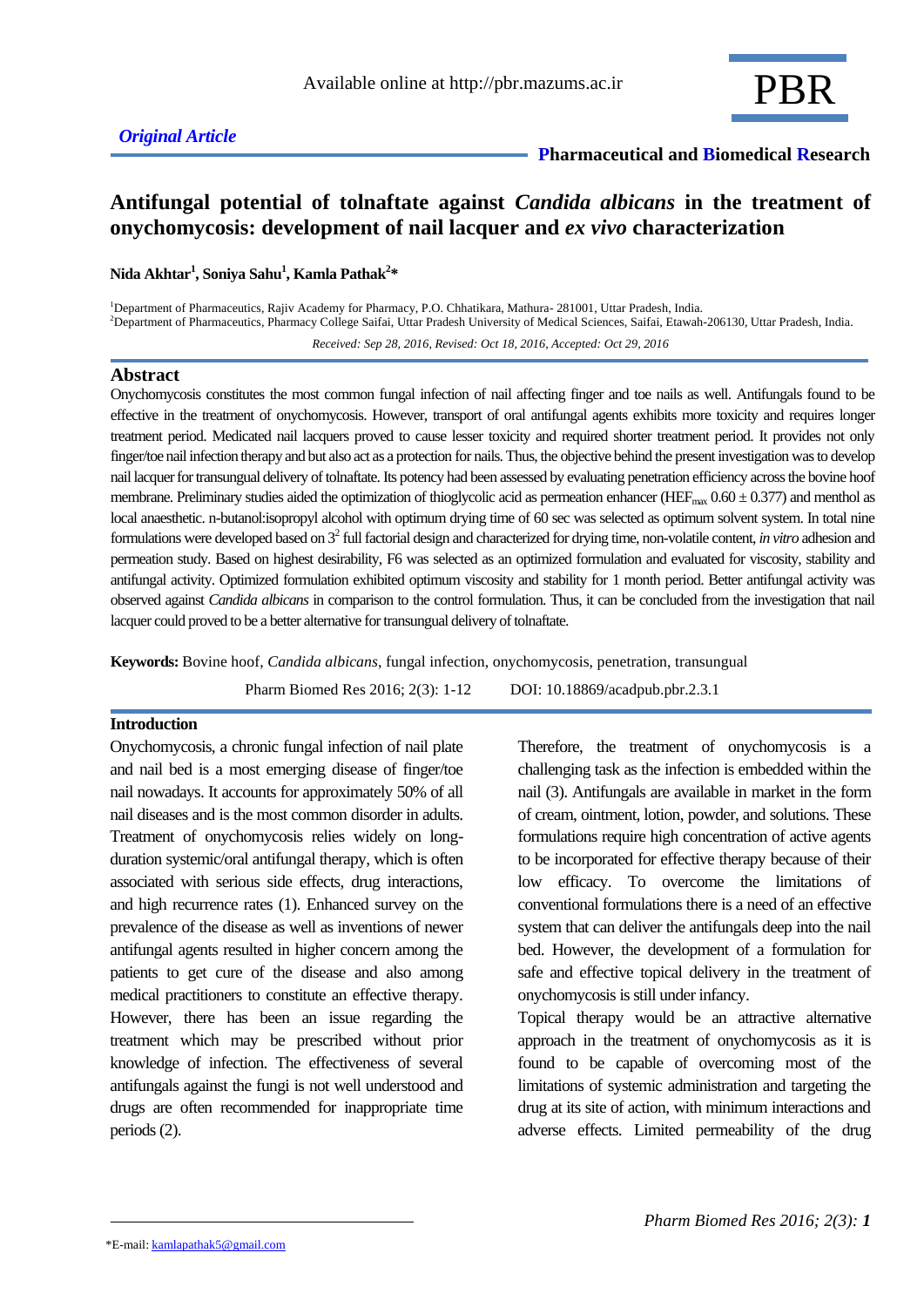## **Pharmaceutical and Biomedical Research**

## **Antifungal potential of tolnaftate against** *Candida albicans* **in the treatment of onychomycosis: development of nail lacquer and** *ex vivo* **characterization**

**Nida Akhtar<sup>1</sup> , Soniya Sahu<sup>1</sup> , Kamla Pathak<sup>2</sup> \***

<sup>1</sup>Department of Pharmaceutics, Rajiv Academy for Pharmacy, P.O. Chhatikara, Mathura- 281001, Uttar Pradesh, India. <sup>2</sup>Department of Pharmaceutics, Pharmacy College Saifai, Uttar Pradesh University of Medical Sciences, Saifai, Etawah-206130, Uttar Pradesh, India. *Received: Sep 28, 2016, Revised: Oct 18, 2016, Accepted: Oct 29, 2016*

#### **Abstract**

Onychomycosis constitutes the most common fungal infection of nail affecting finger and toe nails as well. Antifungals found to be effective in the treatment of onychomycosis. However, transport of oral antifungal agents exhibits more toxicity and requires longer treatment period. Medicated nail lacquers proved to cause lesser toxicity and required shorter treatment period. It provides not only finger/toe nail infection therapy and but also act as a protection for nails. Thus, the objective behind the present investigation was to develop nail lacquer for transungual delivery of tolnaftate. Its potency had been assessed by evaluating penetration efficiency across the bovine hoof membrane. Preliminary studies aided the optimization of thioglycolic acid as permeation enhancer (HEF<sub>max</sub>  $0.60 \pm 0.377$ ) and menthol as local anaesthetic. n-butanol:isopropyl alcohol with optimum drying time of 60 sec was selected as optimum solvent system. In total nine formulations were developed based on 3<sup>2</sup>full factorial design and characterized for drying time, non-volatile content, *in vitro* adhesion and permeation study. Based on highest desirability, F6 was selected as an optimized formulation and evaluated for viscosity, stability and antifungal activity. Optimized formulation exhibited optimum viscosity and stability for 1 month period. Better antifungal activity was observed against *Candida albicans* in comparison to the control formulation. Thus, it can be concluded from the investigation that nail lacquer could proved to be a better alternative for transungual delivery of tolnaftate.

**Keywords:** Bovine hoof, *Candida albicans*, fungal infection, onychomycosis, penetration, transungual

Pharm Biomed Res 2016; 2(3): 1-12 DOI: 10.18869/acadpub.pbr.2.3.1

## **Introduction**

Onychomycosis, a chronic fungal infection of nail plate and nail bed is a most emerging disease of finger/toe nail nowadays. It accounts for approximately 50% of all nail diseases and is the most common disorder in adults. Treatment of onychomycosis relies widely on longduration systemic/oral antifungal therapy, which is often associated with serious side effects, drug interactions, and high recurrence rates (1). Enhanced survey on the prevalence of the disease as well as inventions of newer antifungal agents resulted in higher concern among the patients to get cure of the disease and also among medical practitioners to constitute an effective therapy. However, there has been an issue regarding the treatment which may be prescribed without prior knowledge of infection. The effectiveness of several antifungals against the fungi is not well understood and drugs are often recommended for inappropriate time periods (2).

Therefore, the treatment of onychomycosis is a challenging task as the infection is embedded within the nail (3). Antifungals are available in market in the form of cream, ointment, lotion, powder, and solutions. These formulations require high concentration of active agents to be incorporated for effective therapy because of their low efficacy. To overcome the limitations of conventional formulations there is a need of an effective system that can deliver the antifungals deep into the nail bed. However, the development of a formulation for safe and effective topical delivery in the treatment of onychomycosis is still under infancy.

Topical therapy would be an attractive alternative approach in the treatment of onychomycosis as it is found to be capable of overcoming most of the limitations of systemic administration and targeting the drug at its site of action, with minimum interactions and adverse effects. Limited permeability of the drug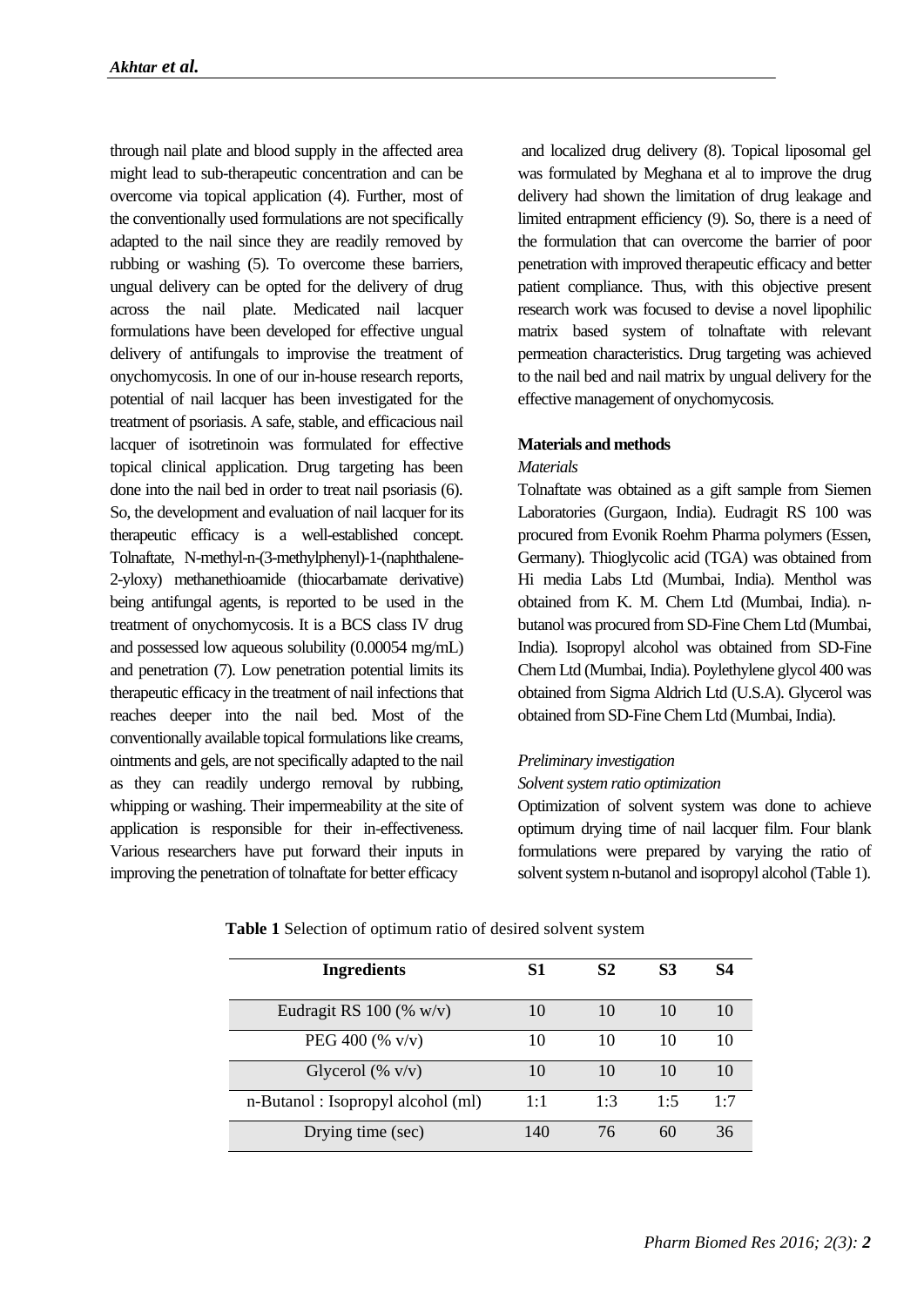through nail plate and blood supply in the affected area might lead to sub-therapeutic concentration and can be overcome via topical application (4). Further, most of the conventionally used formulations are not specifically adapted to the nail since they are readily removed by rubbing or washing (5). To overcome these barriers, ungual delivery can be opted for the delivery of drug across the nail plate. Medicated nail lacquer formulations have been developed for effective ungual delivery of antifungals to improvise the treatment of onychomycosis. In one of our in-house research reports, potential of nail lacquer has been investigated for the treatment of psoriasis. A safe, stable, and efficacious nail lacquer of isotretinoin was formulated for effective topical clinical application. Drug targeting has been done into the nail bed in order to treat nail psoriasis (6). So, the development and evaluation of nail lacquer for its therapeutic efficacy is a well-established concept. Tolnaftate, N-methyl-n-(3-methylphenyl)-1-(naphthalene-2-yloxy) methanethioamide (thiocarbamate derivative) being antifungal agents, is reported to be used in the treatment of onychomycosis. It is a BCS class IV drug and possessed low aqueous solubility (0.00054 mg/mL) and penetration (7). Low penetration potential limits its therapeutic efficacy in the treatment of nail infections that reaches deeper into the nail bed. Most of the conventionally available topical formulations like creams, ointments and gels, are not specifically adapted to the nail as they can readily undergo removal by rubbing, whipping or washing. Their impermeability at the site of application is responsible for their in-effectiveness. Various researchers have put forward their inputs in improving the penetration of tolnaftate for better efficacy

and localized drug delivery (8). Topical liposomal gel was formulated by Meghana et al to improve the drug delivery had shown the limitation of drug leakage and limited entrapment efficiency (9). So, there is a need of the formulation that can overcome the barrier of poor penetration with improved therapeutic efficacy and better patient compliance. Thus, with this objective present research work was focused to devise a novel lipophilic matrix based system of tolnaftate with relevant permeation characteristics. Drug targeting was achieved to the nail bed and nail matrix by ungual delivery for the effective management of onychomycosis.

## **Materials and methods**

## *Materials*

Tolnaftate was obtained as a gift sample from Siemen Laboratories (Gurgaon, India). Eudragit RS 100 was procured from Evonik Roehm Pharma polymers (Essen, Germany). Thioglycolic acid (TGA) was obtained from Hi media Labs Ltd (Mumbai, India). Menthol was obtained from K. M. Chem Ltd (Mumbai, India). nbutanol was procured from SD-Fine Chem Ltd (Mumbai, India). Isopropyl alcohol was obtained from SD-Fine Chem Ltd (Mumbai, India). Poylethylene glycol 400 was obtained from Sigma Aldrich Ltd (U.S.A). Glycerol was obtained from SD-Fine Chem Ltd (Mumbai, India).

#### *Preliminary investigation*

#### *Solvent system ratio optimization*

Optimization of solvent system was done to achieve optimum drying time of nail lacquer film. Four blank formulations were prepared by varying the ratio of solvent system n-butanol and isopropyl alcohol (Table 1).

| <b>Ingredients</b>                | S1  | S <sub>2</sub> | <b>S3</b> | S4  |
|-----------------------------------|-----|----------------|-----------|-----|
| Eudragit RS 100 (% $w/v$ )        | 10  | 10             | 10        | 10  |
| PEG 400 (% $v/v$ )                | 10  | 10             | 10        | 10  |
| Glycerol (% $v/v$ )               | 10  | 10             | 10        | 10  |
| n-Butanol: Isopropyl alcohol (ml) | 1:1 | 1:3            | 1.5       | 1.7 |
| Drying time (sec)                 | 140 | 76             | 60        | 36  |

| Table 1 Selection of optimum ratio of desired solvent system |  |  |
|--------------------------------------------------------------|--|--|
|--------------------------------------------------------------|--|--|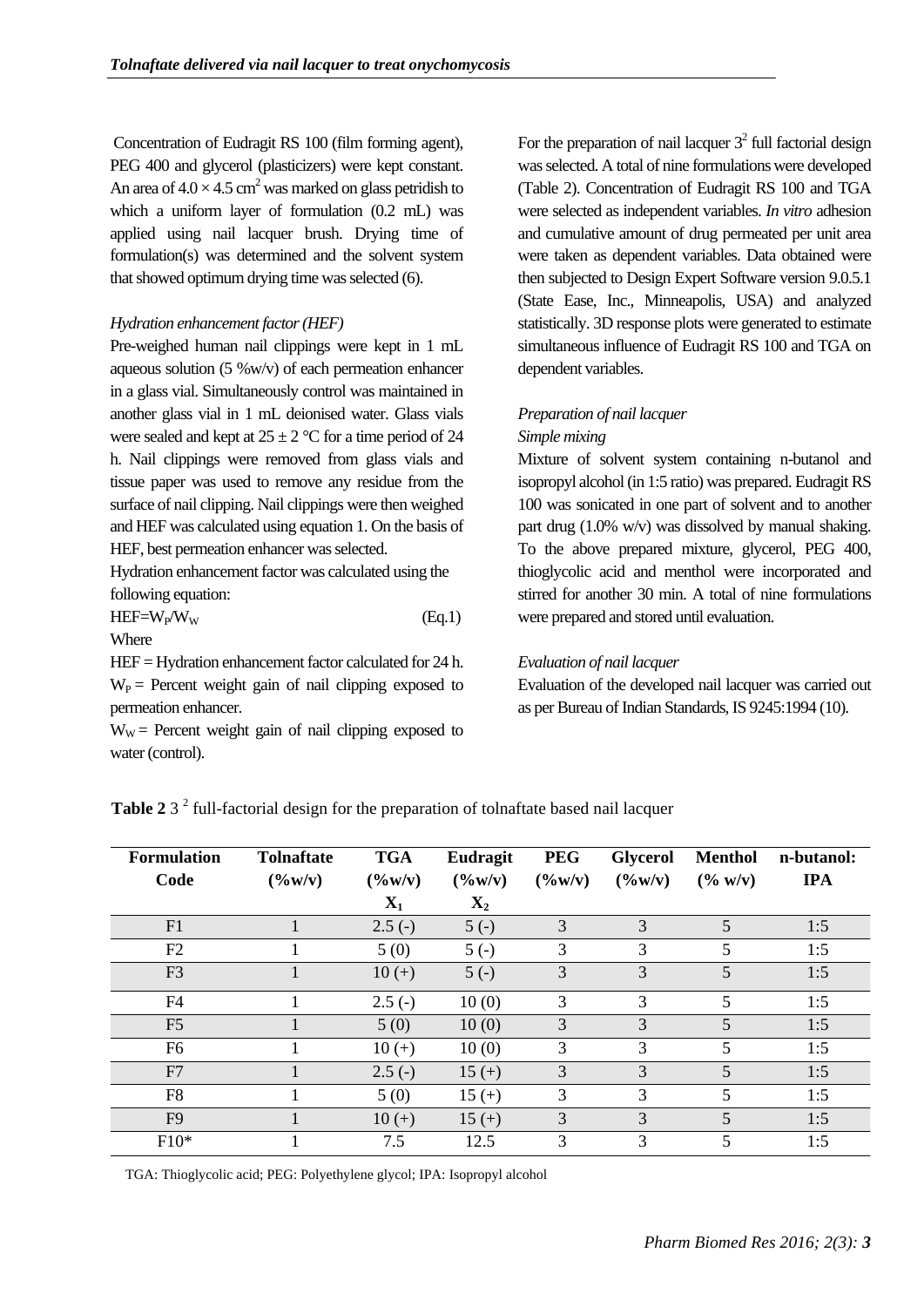Concentration of Eudragit RS 100 (film forming agent), PEG 400 and glycerol (plasticizers) were kept constant. An area of  $4.0 \times 4.5$  cm<sup>2</sup> was marked on glass petridish to which a uniform layer of formulation (0.2 mL) was applied using nail lacquer brush. Drying time of formulation(s) was determined and the solvent system that showed optimum drying time was selected (6).

## *Hydration enhancement factor (HEF)*

Pre-weighed human nail clippings were kept in 1 mL aqueous solution (5 %w/v) of each permeation enhancer in a glass vial. Simultaneously control was maintained in another glass vial in 1 mL deionised water. Glass vials were sealed and kept at  $25 \pm 2$  °C for a time period of 24 h. Nail clippings were removed from glass vials and tissue paper was used to remove any residue from the surface of nail clipping. Nail clippings were then weighed and HEF was calculated using equation 1. On the basis of HEF, best permeation enhancer was selected.

Hydration enhancement factor was calculated using the following equation:

 $HEF=W_{P}/W_{W}$  (Eq.1) Where

HEF = Hydration enhancement factor calculated for 24 h.  $W_P$  = Percent weight gain of nail clipping exposed to permeation enhancer.

 $W_W$  = Percent weight gain of nail clipping exposed to water (control).

For the preparation of nail lacquer  $3<sup>2</sup>$  full factorial design was selected. A total of nine formulations were developed (Table 2). Concentration of Eudragit RS 100 and TGA were selected as independent variables. *In vitro* adhesion and cumulative amount of drug permeated per unit area were taken as dependent variables. Data obtained were then subjected to Design Expert Software version 9.0.5.1 (State Ease, Inc., Minneapolis, USA) and analyzed statistically. 3D response plots were generated to estimate simultaneous influence of Eudragit RS 100 and TGA on dependent variables.

# *Preparation of nail lacquer*

## *Simple mixing*

Mixture of solvent system containing n-butanol and isopropyl alcohol (in 1:5 ratio) was prepared. Eudragit RS 100 was sonicated in one part of solvent and to another part drug (1.0% w/v) was dissolved by manual shaking. To the above prepared mixture, glycerol, PEG 400, thioglycolic acid and menthol were incorporated and stirred for another 30 min. A total of nine formulations were prepared and stored until evaluation.

## *Evaluation of nail lacquer*

Evaluation of the developed nail lacquer was carried out as per Bureau of Indian Standards, IS 9245:1994 (10).

| <b>Formulation</b> | <b>Tolnaftate</b>  | <b>TGA</b>        | Eudragit           | <b>PEG</b>      | <b>Glycerol</b>    | <b>Menthol</b>              | n-butanol: |
|--------------------|--------------------|-------------------|--------------------|-----------------|--------------------|-----------------------------|------------|
| Code               | $(\frac{9}{6}W/v)$ | $(\frac{6}{\pi})$ | $(\frac{9}{6}W/v)$ | $(\frac{6}{W})$ | $(\frac{9}{6}W/v)$ | $(\frac{6}{9} \text{ W/v})$ | <b>IPA</b> |
|                    |                    | $\mathbf{X}_1$    | $\mathbf{X}_2$     |                 |                    |                             |            |
| F1                 |                    | $2.5(-)$          | $5(-)$             | 3               | 3                  | 5                           | 1:5        |
| F2                 |                    | 5(0)              | $5(-)$             | 3               | 3                  | 5                           | 1:5        |
| F <sub>3</sub>     |                    | $10 (+)$          | $5(-)$             | 3               | 3                  | 5                           | 1:5        |
| F <sub>4</sub>     |                    | $2.5(-)$          | 10(0)              | 3               | 3                  | 5                           | 1:5        |
| F <sub>5</sub>     |                    | 5(0)              | 10(0)              | 3               | 3                  | 5                           | 1:5        |
| F6                 |                    | $10 (+)$          | 10(0)              | 3               | 3                  | 5                           | 1:5        |
| F7                 |                    | $2.5(-)$          | $15 (+)$           | 3               | 3                  | 5                           | 1:5        |
| F <sub>8</sub>     |                    | 5(0)              | $15 (+)$           | 3               | 3                  | 5                           | 1:5        |
| F <sub>9</sub>     |                    | $10 (+)$          | $15 (+)$           | 3               | 3                  | 5                           | 1:5        |
| $F10*$             |                    | 7.5               | 12.5               | 3               | 3                  | 5                           | 1:5        |

**Table 2** 3<sup>2</sup> full-factorial design for the preparation of tolnaftate based nail lacquer

TGA: Thioglycolic acid; PEG: Polyethylene glycol; IPA: Isopropyl alcohol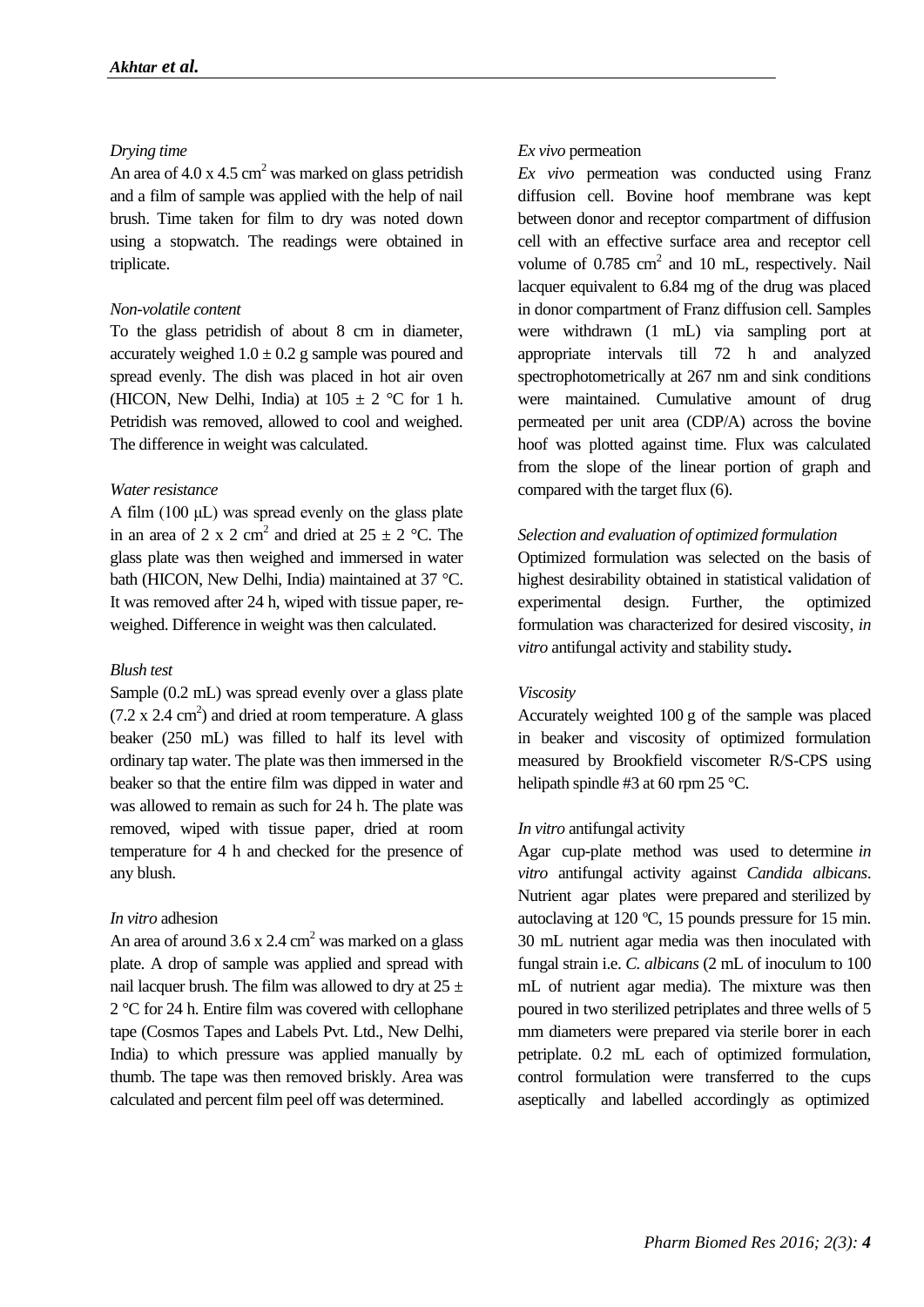## *Drying time*

An area of  $4.0 \times 4.5$  cm<sup>2</sup> was marked on glass petridish and a film of sample was applied with the help of nail brush. Time taken for film to dry was noted down using a stopwatch. The readings were obtained in triplicate.

## *Non-volatile content*

To the glass petridish of about 8 cm in diameter, accurately weighed  $1.0 \pm 0.2$  g sample was poured and spread evenly. The dish was placed in hot air oven (HICON, New Delhi, India) at  $105 \pm 2$  °C for 1 h. Petridish was removed, allowed to cool and weighed. The difference in weight was calculated.

## *Water resistance*

A film (100 μL) was spread evenly on the glass plate in an area of 2 x 2 cm<sup>2</sup> and dried at  $25 \pm 2$  °C. The glass plate was then weighed and immersed in water bath (HICON, New Delhi, India) maintained at 37 °C. It was removed after 24 h, wiped with tissue paper, reweighed. Difference in weight was then calculated.

#### *Blush test*

Sample (0.2 mL) was spread evenly over a glass plate  $(7.2 \times 2.4 \text{ cm}^2)$  and dried at room temperature. A glass beaker (250 mL) was filled to half its level with ordinary tap water. The plate was then immersed in the beaker so that the entire film was dipped in water and was allowed to remain as such for 24 h. The plate was removed, wiped with tissue paper, dried at room temperature for 4 h and checked for the presence of any blush.

#### *In vitro* adhesion

An area of around  $3.6 \times 2.4 \text{ cm}^2$  was marked on a glass plate. A drop of sample was applied and spread with nail lacquer brush. The film was allowed to dry at  $25 \pm$ 2 °C for 24 h. Entire film was covered with cellophane tape (Cosmos Tapes and Labels Pvt. Ltd., New Delhi, India) to which pressure was applied manually by thumb. The tape was then removed briskly. Area was calculated and percent film peel off was determined.

## *Ex vivo* permeation

*Ex vivo* permeation was conducted using Franz diffusion cell. Bovine hoof membrane was kept between donor and receptor compartment of diffusion cell with an effective surface area and receptor cell volume of 0.785 cm<sup>2</sup> and 10 mL, respectively. Nail lacquer equivalent to 6.84 mg of the drug was placed in donor compartment of Franz diffusion cell. Samples were withdrawn (1 mL) via sampling port at appropriate intervals till 72 h and analyzed spectrophotometrically at 267 nm and sink conditions were maintained. Cumulative amount of drug permeated per unit area (CDP/A) across the bovine hoof was plotted against time. Flux was calculated from the slope of the linear portion of graph and compared with the target flux (6).

## *Selection and evaluation of optimized formulation*

Optimized formulation was selected on the basis of highest desirability obtained in statistical validation of experimental design. Further, the optimized formulation was characterized for desired viscosity, *in vitro* antifungal activity and stability study*.*

## *Viscosity*

Accurately weighted 100 g of the sample was placed in beaker and viscosity of optimized formulation measured by Brookfield viscometer R/S-CPS using helipath spindle #3 at 60 rpm 25 °C.

## *In vitro* antifungal activity

Agar cup-plate method was used to determine *in vitro* antifungal activity against *Candida albicans*. Nutrient agar plates were prepared and sterilized by autoclaving at 120 ºC, 15 pounds pressure for 15 min. 30 mL nutrient agar media was then inoculated with fungal strain i.e. *C. albicans* (2 mL of inoculum to 100 mL of nutrient agar media). The mixture was then poured in two sterilized petriplates and three wells of 5 mm diameters were prepared via sterile borer in each petriplate. 0.2 mL each of optimized formulation, control formulation were transferred to the cups aseptically and labelled accordingly as optimized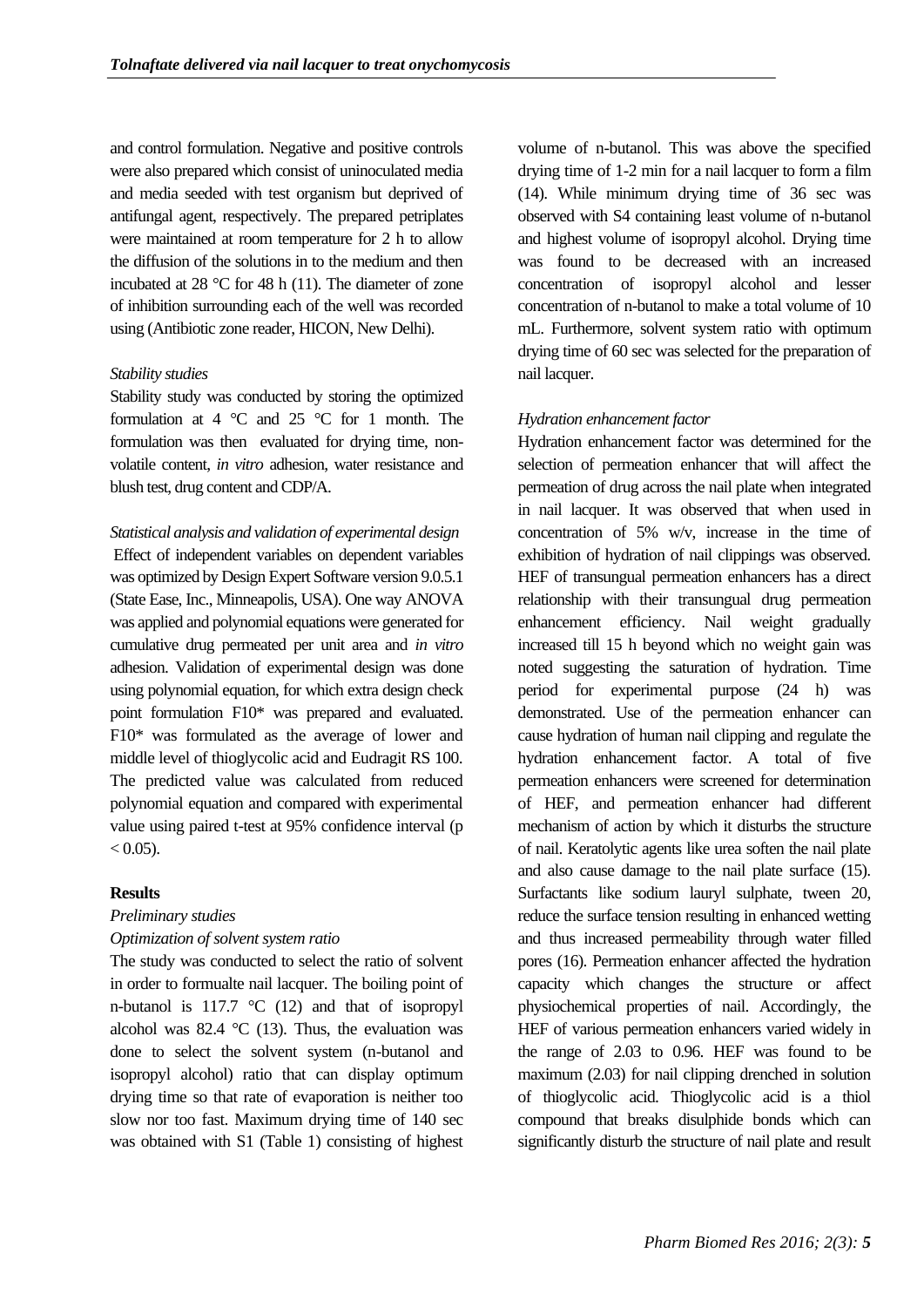and control formulation. Negative and positive controls were also prepared which consist of uninoculated media and media seeded with test organism but deprived of antifungal agent, respectively. The prepared petriplates were maintained at room temperature for 2 h to allow the diffusion of the solutions in to the medium and then incubated at 28 °C for 48 h (11). The diameter of zone of inhibition surrounding each of the well was recorded using (Antibiotic zone reader, HICON, New Delhi).

## *Stability studies*

Stability study was conducted by storing the optimized formulation at 4  $\degree$ C and 25  $\degree$ C for 1 month. The formulation was then evaluated for drying time, nonvolatile content, *in vitro* adhesion, water resistance and blush test, drug content and CDP/A.

*Statistical analysis and validation of experimental design* Effect of independent variables on dependent variables was optimized by Design Expert Software version 9.0.5.1 (State Ease, Inc., Minneapolis, USA). One way ANOVA was applied and polynomial equations were generated for cumulative drug permeated per unit area and *in vitro*  adhesion. Validation of experimental design was done using polynomial equation, for which extra design check point formulation F10\* was prepared and evaluated. F10\* was formulated as the average of lower and middle level of thioglycolic acid and Eudragit RS 100. The predicted value was calculated from reduced polynomial equation and compared with experimental value using paired t-test at 95% confidence interval (p  $< 0.05$ ).

## **Results**

## *Preliminary studies*

## *Optimization of solvent system ratio*

The study was conducted to select the ratio of solvent in order to formualte nail lacquer. The boiling point of n-butanol is 117.7 °C (12) and that of isopropyl alcohol was 82.4  $\degree$ C (13). Thus, the evaluation was done to select the solvent system (n-butanol and isopropyl alcohol) ratio that can display optimum drying time so that rate of evaporation is neither too slow nor too fast. Maximum drying time of 140 sec was obtained with S1 (Table 1) consisting of highest

volume of n-butanol. This was above the specified drying time of 1-2 min for a nail lacquer to form a film (14). While minimum drying time of 36 sec was observed with S4 containing least volume of n-butanol and highest volume of isopropyl alcohol. Drying time was found to be decreased with an increased concentration of isopropyl alcohol and lesser concentration of n-butanol to make a total volume of 10 mL. Furthermore, solvent system ratio with optimum drying time of 60 sec was selected for the preparation of nail lacquer.

## *Hydration enhancement factor*

Hydration enhancement factor was determined for the selection of permeation enhancer that will affect the permeation of drug across the nail plate when integrated in nail lacquer. It was observed that when used in concentration of 5% w/v, increase in the time of exhibition of hydration of nail clippings was observed. HEF of transungual permeation enhancers has a direct relationship with their transungual drug permeation enhancement efficiency. Nail weight gradually increased till 15 h beyond which no weight gain was noted suggesting the saturation of hydration. Time period for experimental purpose (24 h) was demonstrated. Use of the permeation enhancer can cause hydration of human nail clipping and regulate the hydration enhancement factor. A total of five permeation enhancers were screened for determination of HEF, and permeation enhancer had different mechanism of action by which it disturbs the structure of nail. Keratolytic agents like urea soften the nail plate and also cause damage to the nail plate surface (15). Surfactants like sodium lauryl sulphate, tween 20, reduce the surface tension resulting in enhanced wetting and thus increased permeability through water filled pores (16). Permeation enhancer affected the hydration capacity which changes the structure or affect physiochemical properties of nail. Accordingly, the HEF of various permeation enhancers varied widely in the range of 2.03 to 0.96. HEF was found to be maximum (2.03) for nail clipping drenched in solution of thioglycolic acid. Thioglycolic acid is a thiol compound that breaks disulphide bonds which can significantly disturb the structure of nail plate and result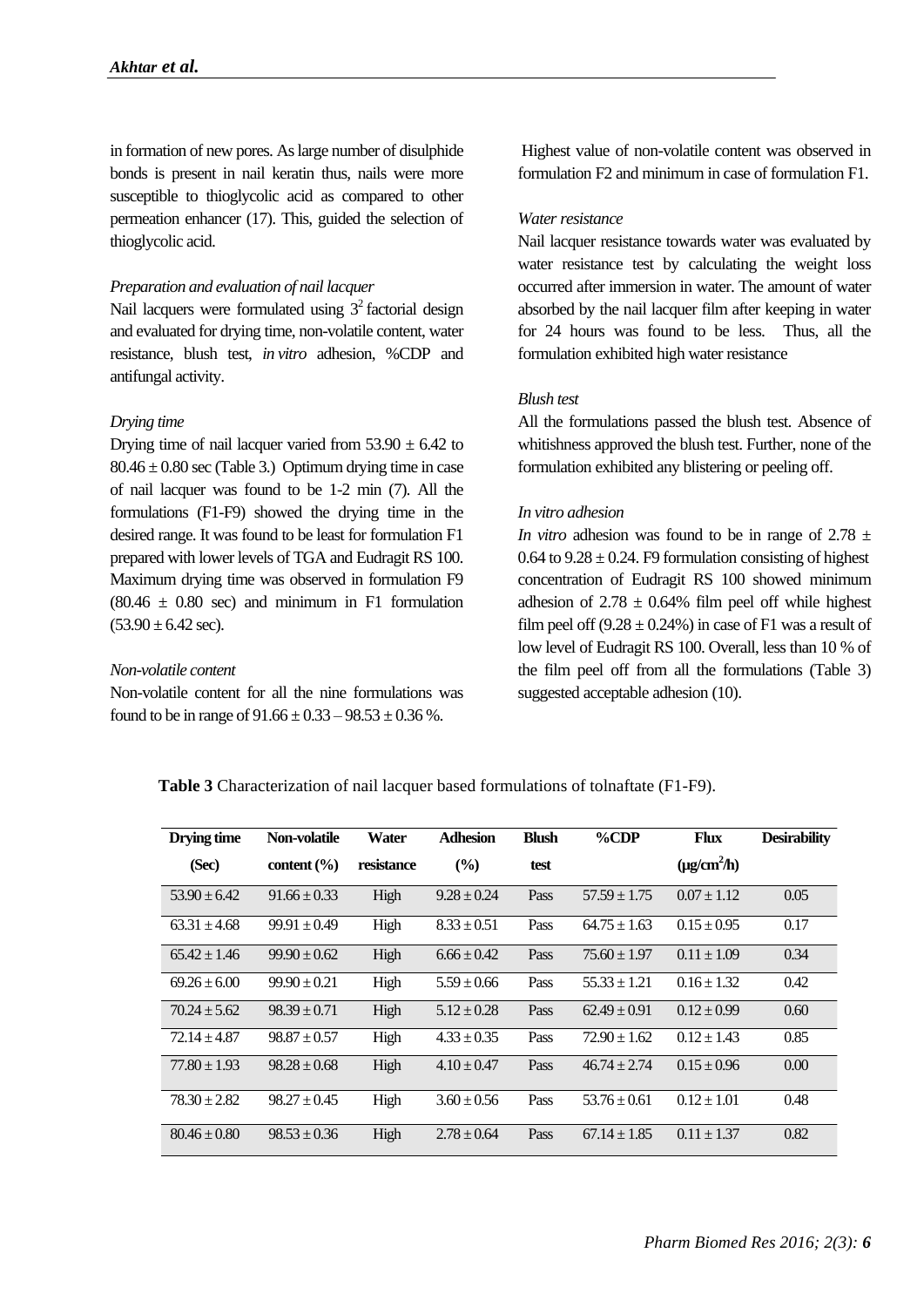in formation of new pores. As large number of disulphide bonds is present in nail keratin thus, nails were more susceptible to thioglycolic acid as compared to other permeation enhancer (17). This, guided the selection of thioglycolic acid.

#### *Preparation and evaluation of nail lacquer*

Nail lacquers were formulated using  $3^2$  factorial design and evaluated for drying time, non-volatile content, water resistance, blush test, *in vitro* adhesion, %CDP and antifungal activity.

#### *Drying time*

Drying time of nail lacquer varied from  $53.90 \pm 6.42$  to  $80.46 \pm 0.80$  sec (Table 3.) Optimum drying time in case of nail lacquer was found to be 1-2 min (7). All the formulations (F1-F9) showed the drying time in the desired range. It was found to be least for formulation F1 prepared with lower levels of TGA and Eudragit RS 100. Maximum drying time was observed in formulation F9  $(80.46 \pm 0.80 \text{ sec})$  and minimum in F1 formulation  $(53.90 \pm 6.42 \text{ sec})$ .

## *Non-volatile content*

Non-volatile content for all the nine formulations was found to be in range of  $91.66 \pm 0.33 - 98.53 \pm 0.36$  %.

Highest value of non-volatile content was observed in formulation F2 and minimum in case of formulation F1.

#### *Water resistance*

Nail lacquer resistance towards water was evaluated by water resistance test by calculating the weight loss occurred after immersion in water. The amount of water absorbed by the nail lacquer film after keeping in water for 24 hours was found to be less. Thus, all the formulation exhibited high water resistance

## *Blush test*

All the formulations passed the blush test. Absence of whitishness approved the blush test. Further, none of the formulation exhibited any blistering or peeling off.

#### *In vitro adhesion*

*In vitro* adhesion was found to be in range of  $2.78 \pm$ 0.64 to  $9.28 \pm 0.24$ . F9 formulation consisting of highest concentration of Eudragit RS 100 showed minimum adhesion of  $2.78 \pm 0.64\%$  film peel off while highest film peel off  $(9.28 \pm 0.24\%)$  in case of F1 was a result of low level of Eudragit RS 100. Overall, less than 10 % of the film peel off from all the formulations (Table 3) suggested acceptable adhesion (10).

**Table 3** Characterization of nail lacquer based formulations of tolnaftate (F1-F9).

| Drying time      | Non-volatile                       | Water      | <b>Adhesion</b> | <b>Blush</b> | $\%$ CDP         | <b>Flux</b>      | <b>Desirability</b> |
|------------------|------------------------------------|------------|-----------------|--------------|------------------|------------------|---------------------|
| (Sec)            | content $\left(\frac{9}{6}\right)$ | resistance | $(\%)$          | test         |                  | $(\mu g/cm^2/h)$ |                     |
| $53.90 \pm 6.42$ | $91.66 \pm 0.33$                   | High       | $9.28 \pm 0.24$ | Pass         | $57.59 \pm 1.75$ | $0.07 \pm 1.12$  | 0.05                |
| $63.31 \pm 4.68$ | $99.91 \pm 0.49$                   | High       | $8.33 \pm 0.51$ | Pass         | $64.75 \pm 1.63$ | $0.15 \pm 0.95$  | 0.17                |
| $65.42 \pm 1.46$ | $99.90 \pm 0.62$                   | High       | $6.66 \pm 0.42$ | Pass         | $75.60 \pm 1.97$ | $0.11 \pm 1.09$  | 0.34                |
| $69.26 \pm 6.00$ | $99.90 \pm 0.21$                   | High       | $5.59 \pm 0.66$ | Pass         | $55.33 \pm 1.21$ | $0.16 \pm 1.32$  | 0.42                |
| $70.24 \pm 5.62$ | $98.39 \pm 0.71$                   | High       | $5.12 \pm 0.28$ | Pass         | $62.49 \pm 0.91$ | $0.12 \pm 0.99$  | 0.60                |
| $72.14 \pm 4.87$ | $98.87 \pm 0.57$                   | High       | $4.33 \pm 0.35$ | Pass         | $72.90 \pm 1.62$ | $0.12 \pm 1.43$  | 0.85                |
| $77.80 \pm 1.93$ | $98.28 \pm 0.68$                   | High       | $4.10 \pm 0.47$ | Pass         | $46.74 \pm 2.74$ | $0.15 \pm 0.96$  | $0.00\,$            |
| $78.30 \pm 2.82$ | $98.27 \pm 0.45$                   | High       | $3.60 \pm 0.56$ | Pass         | $53.76 \pm 0.61$ | $0.12 \pm 1.01$  | 0.48                |
| $80.46 \pm 0.80$ | $98.53 \pm 0.36$                   | High       | $2.78 \pm 0.64$ | Pass         | $67.14 \pm 1.85$ | $0.11 \pm 1.37$  | 0.82                |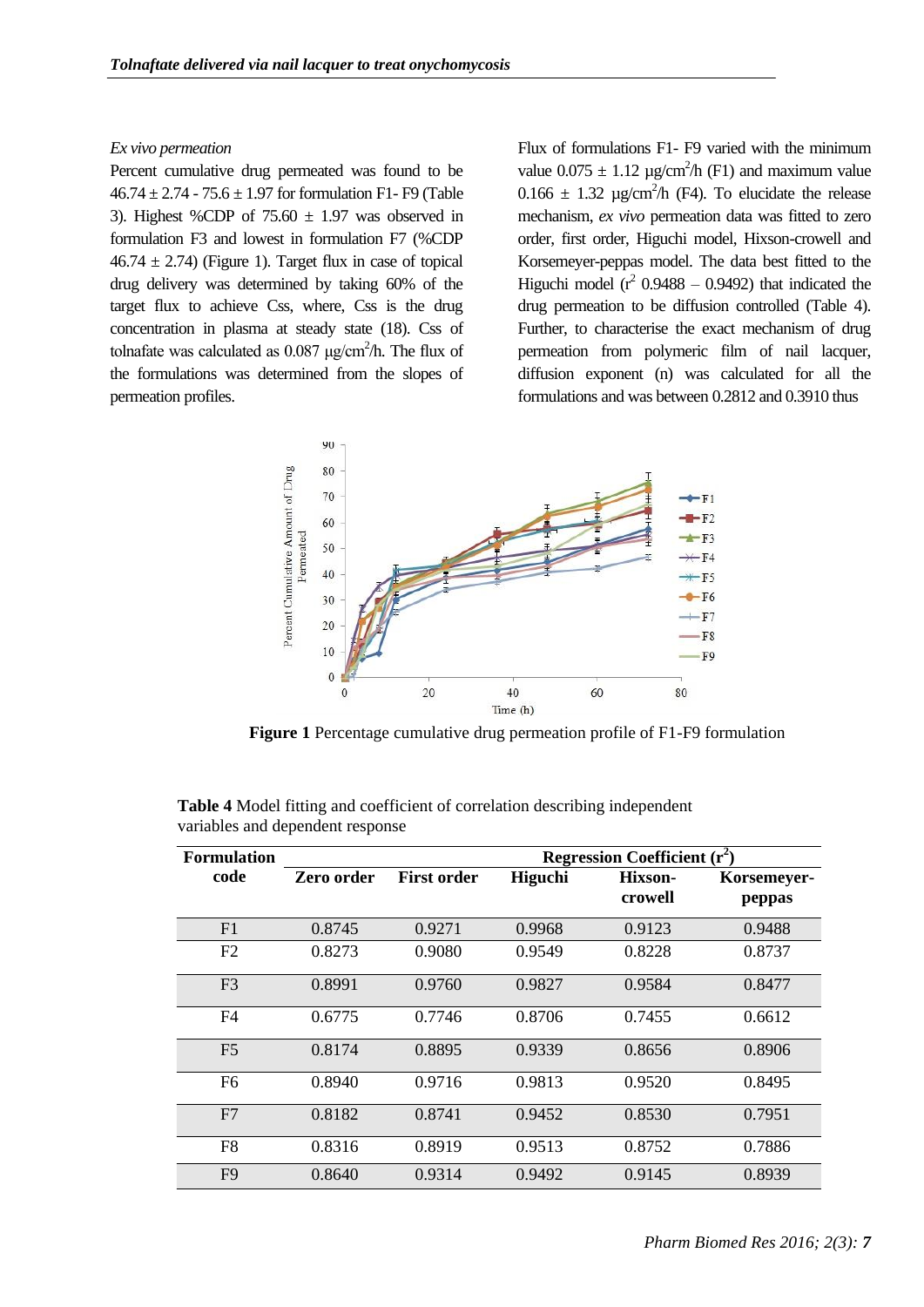## *Ex vivo permeation*

Percent cumulative drug permeated was found to be  $46.74 \pm 2.74 - 75.6 \pm 1.97$  for formulation F1- F9 (Table 3). Highest %CDP of  $75.60 \pm 1.97$  was observed in formulation F3 and lowest in formulation F7 (%CDP  $46.74 \pm 2.74$ ) (Figure 1). Target flux in case of topical drug delivery was determined by taking 60% of the target flux to achieve Css, where, Css is the drug concentration in plasma at steady state (18). Css of tolnafate was calculated as  $0.087 \mu g/cm^2/h$ . The flux of the formulations was determined from the slopes of permeation profiles.

Flux of formulations F1- F9 varied with the minimum value  $0.075 \pm 1.12 \text{ µg/cm}^2/\text{h}$  (F1) and maximum value  $0.166 \pm 1.32$  µg/cm<sup>2</sup>/h (F4). To elucidate the release mechanism, *ex vivo* permeation data was fitted to zero order, first order, Higuchi model, Hixson-crowell and Korsemeyer-peppas model. The data best fitted to the Higuchi model  $(r^2 0.9488 - 0.9492)$  that indicated the drug permeation to be diffusion controlled (Table 4). Further, to characterise the exact mechanism of drug permeation from polymeric film of nail lacquer, diffusion exponent (n) was calculated for all the formulations and was between 0.2812 and 0.3910 thus



**Figure 1** Percentage cumulative drug permeation profile of F1-F9 formulation

| <b>Formulation</b> |            | <b>Regression Coefficient</b> $(r^2)$ |                |         |             |  |
|--------------------|------------|---------------------------------------|----------------|---------|-------------|--|
| code               | Zero order | <b>First order</b>                    | <b>Higuchi</b> | Hixson- | Korsemeyer- |  |
|                    |            |                                       |                | crowell | peppas      |  |
| F1                 | 0.8745     | 0.9271                                | 0.9968         | 0.9123  | 0.9488      |  |
| F <sub>2</sub>     | 0.8273     | 0.9080                                | 0.9549         | 0.8228  | 0.8737      |  |
| F <sub>3</sub>     | 0.8991     | 0.9760                                | 0.9827         | 0.9584  | 0.8477      |  |
| F <sub>4</sub>     | 0.6775     | 0.7746                                | 0.8706         | 0.7455  | 0.6612      |  |
| F <sub>5</sub>     | 0.8174     | 0.8895                                | 0.9339         | 0.8656  | 0.8906      |  |
| F <sub>6</sub>     | 0.8940     | 0.9716                                | 0.9813         | 0.9520  | 0.8495      |  |
| F7                 | 0.8182     | 0.8741                                | 0.9452         | 0.8530  | 0.7951      |  |
| F <sub>8</sub>     | 0.8316     | 0.8919                                | 0.9513         | 0.8752  | 0.7886      |  |
| F <sub>9</sub>     | 0.8640     | 0.9314                                | 0.9492         | 0.9145  | 0.8939      |  |

**Table 4** Model fitting and coefficient of correlation describing independent variables and dependent response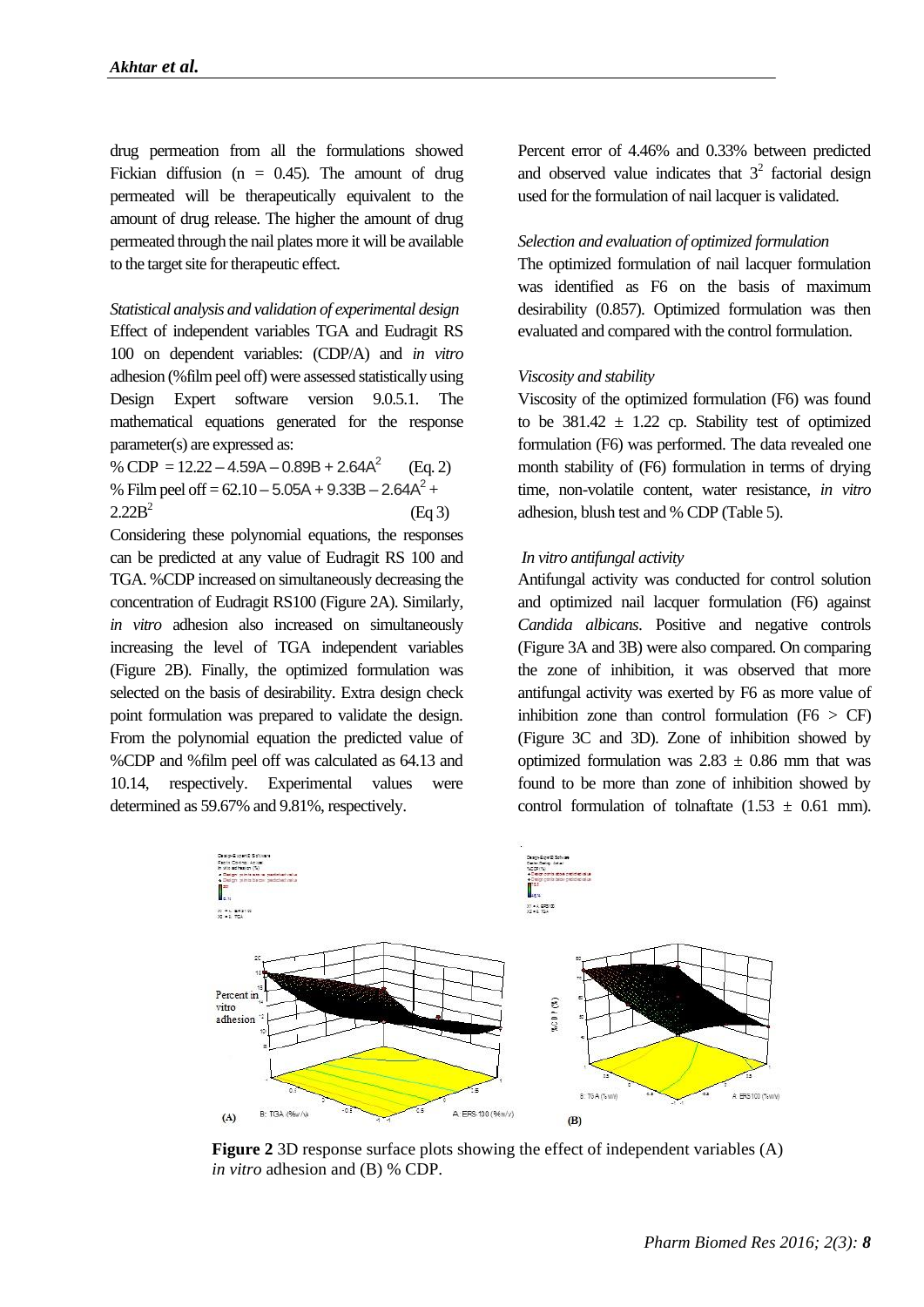drug permeation from all the formulations showed Fickian diffusion ( $n = 0.45$ ). The amount of drug permeated will be therapeutically equivalent to the amount of drug release. The higher the amount of drug permeated through the nail plates more it will be available to the target site for therapeutic effect.

*Statistical analysis and validation of experimental design* Effect of independent variables TGA and Eudragit RS 100 on dependent variables: (CDP/A) and *in vitro* adhesion (%film peel off) were assessed statistically using Design Expert software version 9.0.5.1. The mathematical equations generated for the response parameter(s) are expressed as:

% CDP =  $12.22 - 4.59A - 0.89B + 2.64A^2$  (Eq. 2) % Film peel of  $f = 62.10 - 5.05A + 9.33B - 2.64A^2 +$  $2.22B^2$ (Eq 3)

Considering these polynomial equations, the responses can be predicted at any value of Eudragit RS 100 and TGA. %CDP increased on simultaneously decreasing the concentration of Eudragit RS100 (Figure 2A). Similarly, *in vitro* adhesion also increased on simultaneously increasing the level of TGA independent variables (Figure 2B). Finally, the optimized formulation was selected on the basis of desirability. Extra design check point formulation was prepared to validate the design. From the polynomial equation the predicted value of %CDP and %film peel off was calculated as 64.13 and 10.14, respectively. Experimental values were determined as 59.67% and 9.81%, respectively.

Percent error of 4.46% and 0.33% between predicted and observed value indicates that  $3<sup>2</sup>$  factorial design used for the formulation of nail lacquer is validated.

## *Selection and evaluation of optimized formulation*

The optimized formulation of nail lacquer formulation was identified as F6 on the basis of maximum desirability (0.857). Optimized formulation was then evaluated and compared with the control formulation.

#### *Viscosity and stability*

Viscosity of the optimized formulation (F6) was found to be  $381.42 \pm 1.22$  cp. Stability test of optimized formulation (F6) was performed. The data revealed one month stability of (F6) formulation in terms of drying time, non-volatile content, water resistance, *in vitro* adhesion, blush test and % CDP (Table 5).

## *In vitro antifungal activity*

Antifungal activity was conducted for control solution and optimized nail lacquer formulation (F6) against *Candida albicans*. Positive and negative controls (Figure 3A and 3B) were also compared. On comparing the zone of inhibition, it was observed that more antifungal activity was exerted by F6 as more value of inhibition zone than control formulation  $(F6 > CF)$ (Figure 3C and 3D). Zone of inhibition showed by optimized formulation was  $2.83 \pm 0.86$  mm that was found to be more than zone of inhibition showed by control formulation of tolnaftate  $(1.53 \pm 0.61 \text{ mm})$ .



**Figure 2** 3D response surface plots showing the effect of independent variables (A) *in vitro* adhesion and (B) % CDP.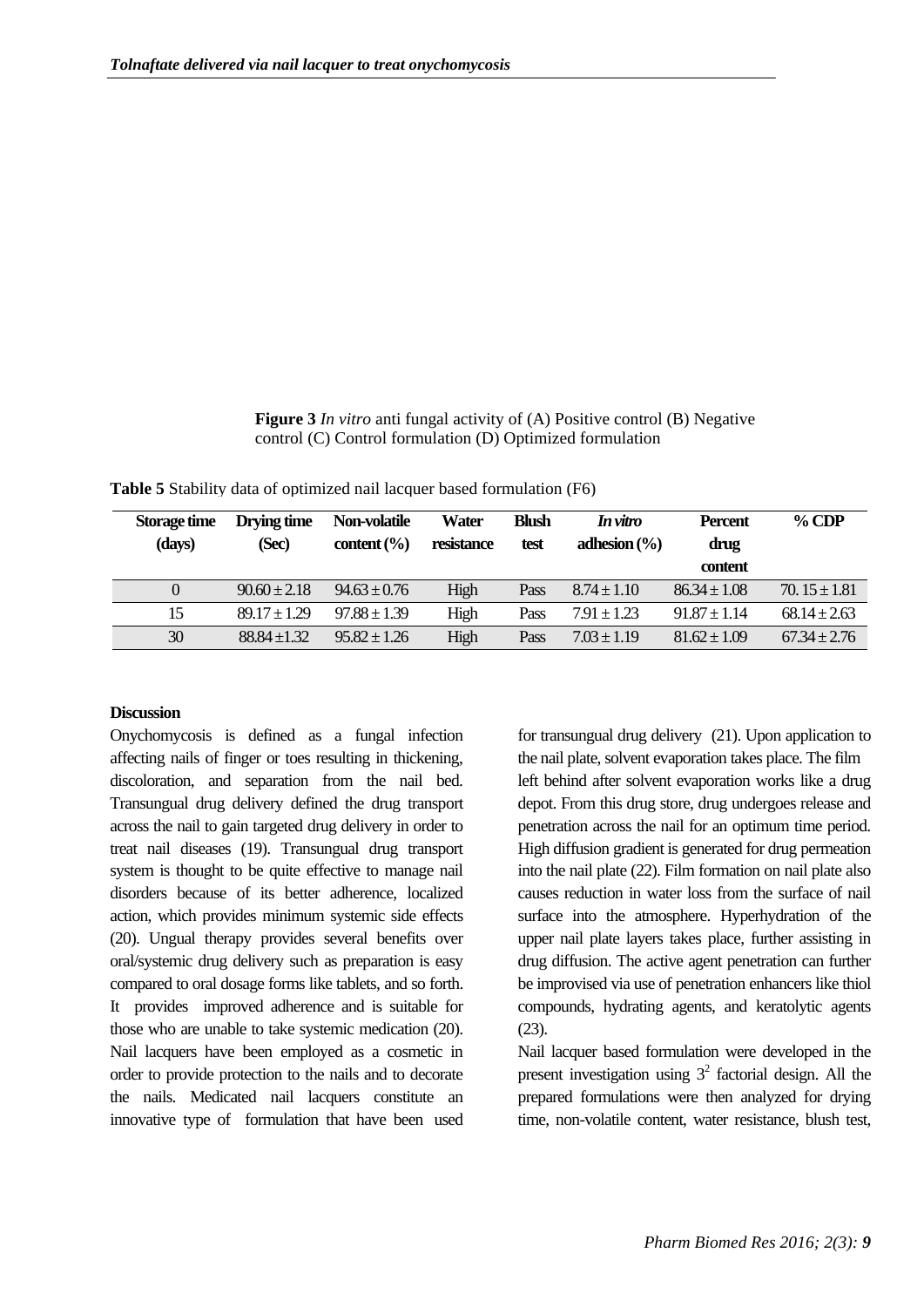## **Figure 3** *In vitro* anti fungal activity of (A) Positive control (B) Negative control (C) Control formulation (D) Optimized formulation

| Storage time<br>(days) | Drying time<br>(Sec) | Non-volatile<br>content $\left(\frac{9}{6}\right)$ | Water<br>resistance | <b>Blush</b><br>test | In vitro<br>adhesion $(\% )$ | <b>Percent</b><br>drug<br>content | $\%$ CDP         |
|------------------------|----------------------|----------------------------------------------------|---------------------|----------------------|------------------------------|-----------------------------------|------------------|
| $\Omega$               | $90.60 \pm 2.18$     | $94.63 \pm 0.76$                                   | High                | Pass                 | $8.74 \pm 1.10$              | $86.34 \pm 1.08$                  | $70.15 \pm 1.81$ |
| 15                     | $89.17 \pm 1.29$     | $97.88 + 1.39$                                     | High                | Pass                 | $7.91 + 1.23$                | $91.87 \pm 1.14$                  | $68.14 \pm 2.63$ |
| 30                     | $88.84 + 1.32$       | $95.82 + 1.26$                                     | High                | Pass                 | $7.03 + 1.19$                | $81.62 \pm 1.09$                  | $67.34 \pm 2.76$ |

**Table 5** Stability data of optimized nail lacquer based formulation (F6)

## **Discussion**

Onychomycosis is defined as a fungal infection affecting nails of finger or toes resulting in thickening, discoloration, and separation from the nail bed. Transungual drug delivery defined the drug transport across the nail to gain targeted drug delivery in order to treat nail diseases (19). Transungual drug transport system is thought to be quite effective to manage nail disorders because of its better adherence, localized action, which provides minimum systemic side effects (20). Ungual therapy provides several benefits over oral/systemic drug delivery such as preparation is easy compared to oral dosage forms like tablets, and so forth. It provides improved adherence and is suitable for those who are unable to take systemic medication (20). Nail lacquers have been employed as a cosmetic in order to provide protection to the nails and to decorate the nails. Medicated nail lacquers constitute an innovative type of formulation that have been used

for transungual drug delivery (21). Upon application to the nail plate, solvent evaporation takes place. The film left behind after solvent evaporation works like a drug depot. From this drug store, drug undergoes release and penetration across the nail for an optimum time period. High diffusion gradient is generated for drug permeation into the nail plate (22). Film formation on nail plate also causes reduction in water loss from the surface of nail surface into the atmosphere. Hyperhydration of the upper nail plate layers takes place, further assisting in drug diffusion. The active agent penetration can further be improvised via use of penetration enhancers like thiol compounds, hydrating agents, and keratolytic agents (23).

Nail lacquer based formulation were developed in the present investigation using  $3^2$  factorial design. All the prepared formulations were then analyzed for drying time, non-volatile content, water resistance, blush test,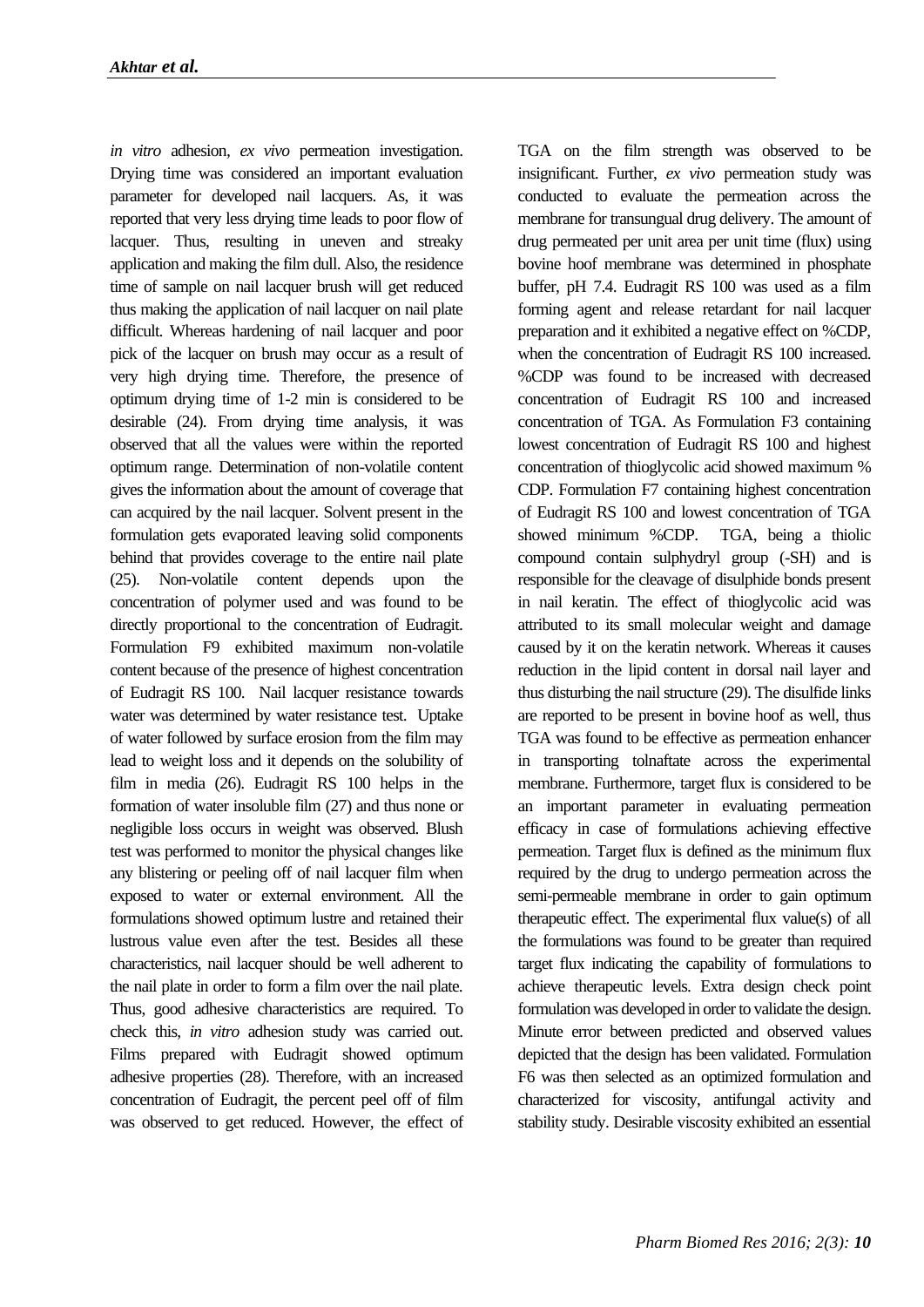*in vitro* adhesion*, ex vivo* permeation investigation. Drying time was considered an important evaluation parameter for developed nail lacquers. As, it was reported that very less drying time leads to poor flow of lacquer. Thus, resulting in uneven and streaky application and making the film dull. Also, the residence time of sample on nail lacquer brush will get reduced thus making the application of nail lacquer on nail plate difficult. Whereas hardening of nail lacquer and poor pick of the lacquer on brush may occur as a result of very high drying time. Therefore, the presence of optimum drying time of 1-2 min is considered to be desirable (24). From drying time analysis, it was observed that all the values were within the reported optimum range. Determination of non-volatile content gives the information about the amount of coverage that can acquired by the nail lacquer. Solvent present in the formulation gets evaporated leaving solid components behind that provides coverage to the entire nail plate (25). Non-volatile content depends upon the concentration of polymer used and was found to be directly proportional to the concentration of Eudragit. Formulation F9 exhibited maximum non-volatile content because of the presence of highest concentration of Eudragit RS 100. Nail lacquer resistance towards water was determined by water resistance test. Uptake of water followed by surface erosion from the film may lead to weight loss and it depends on the solubility of film in media (26). Eudragit RS 100 helps in the formation of water insoluble film (27) and thus none or negligible loss occurs in weight was observed. Blush test was performed to monitor the physical changes like any blistering or peeling off of nail lacquer film when exposed to water or external environment. All the formulations showed optimum lustre and retained their lustrous value even after the test. Besides all these characteristics, nail lacquer should be well adherent to the nail plate in order to form a film over the nail plate. Thus, good adhesive characteristics are required. To check this, *in vitro* adhesion study was carried out. Films prepared with Eudragit showed optimum adhesive properties (28). Therefore, with an increased concentration of Eudragit, the percent peel off of film was observed to get reduced. However, the effect of TGA on the film strength was observed to be insignificant. Further, *ex vivo* permeation study was conducted to evaluate the permeation across the membrane for transungual drug delivery. The amount of drug permeated per unit area per unit time (flux) using bovine hoof membrane was determined in phosphate buffer, pH 7.4. Eudragit RS 100 was used as a film forming agent and release retardant for nail lacquer preparation and it exhibited a negative effect on %CDP, when the concentration of Eudragit RS 100 increased. %CDP was found to be increased with decreased concentration of Eudragit RS 100 and increased concentration of TGA. As Formulation F3 containing lowest concentration of Eudragit RS 100 and highest concentration of thioglycolic acid showed maximum % CDP. Formulation F7 containing highest concentration of Eudragit RS 100 and lowest concentration of TGA showed minimum %CDP. TGA, being a thiolic compound contain sulphydryl group (-SH) and is responsible for the cleavage of disulphide bonds present in nail keratin. The effect of thioglycolic acid was attributed to its small molecular weight and damage caused by it on the keratin network. Whereas it causes reduction in the lipid content in dorsal nail layer and thus disturbing the nail structure (29). The disulfide links are reported to be present in bovine hoof as well, thus TGA was found to be effective as permeation enhancer in transporting tolnaftate across the experimental membrane. Furthermore, target flux is considered to be an important parameter in evaluating permeation efficacy in case of formulations achieving effective permeation. Target flux is defined as the minimum flux required by the drug to undergo permeation across the semi-permeable membrane in order to gain optimum therapeutic effect. The experimental flux value(s) of all the formulations was found to be greater than required target flux indicating the capability of formulations to achieve therapeutic levels. Extra design check point formulation was developed in order to validate the design. Minute error between predicted and observed values depicted that the design has been validated. Formulation F6 was then selected as an optimized formulation and characterized for viscosity, antifungal activity and stability study. Desirable viscosity exhibited an essential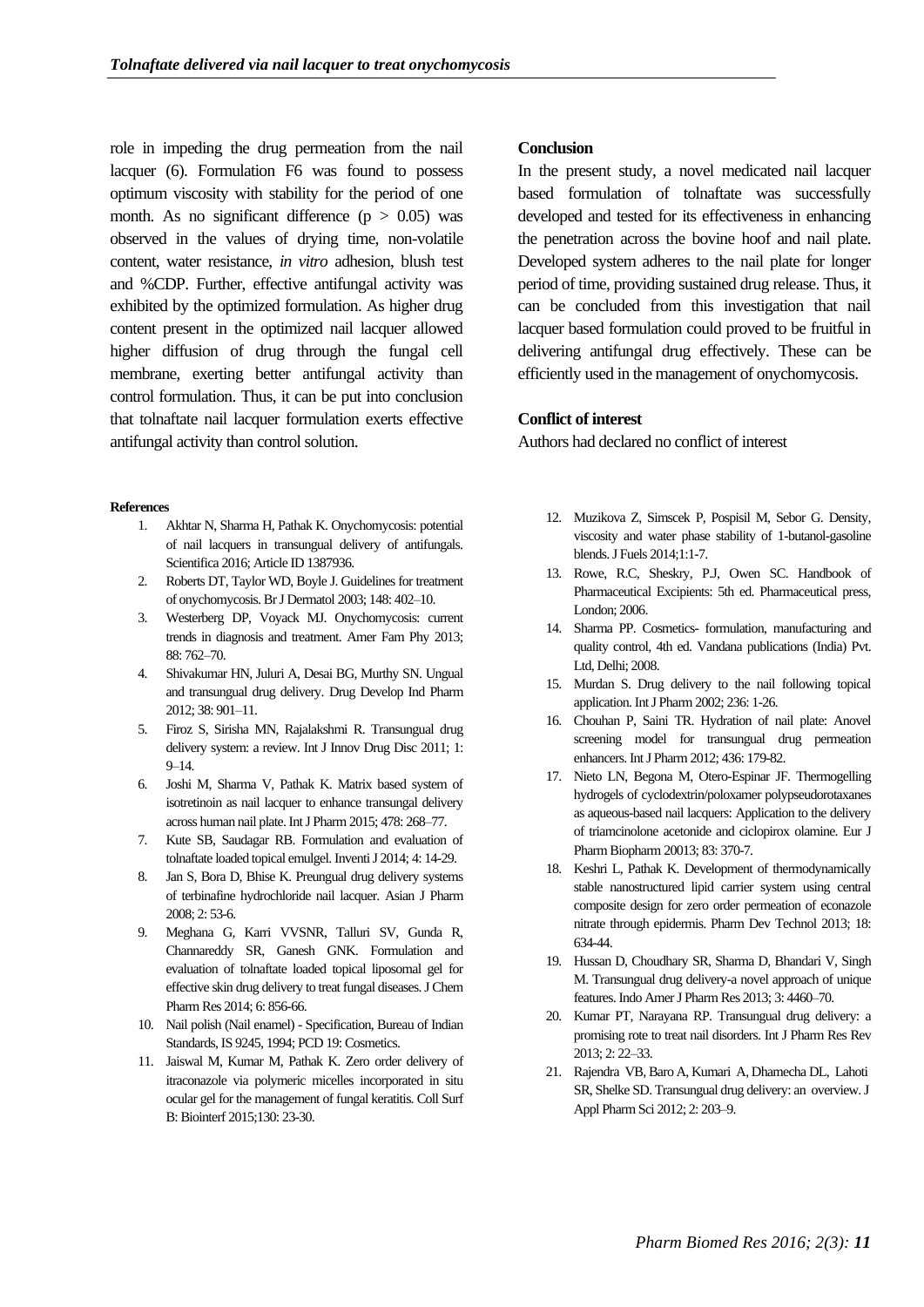role in impeding the drug permeation from the nail lacquer (6). Formulation F6 was found to possess optimum viscosity with stability for the period of one month. As no significant difference  $(p > 0.05)$  was observed in the values of drying time, non-volatile content, water resistance, *in vitro* adhesion, blush test and %CDP. Further, effective antifungal activity was exhibited by the optimized formulation. As higher drug content present in the optimized nail lacquer allowed higher diffusion of drug through the fungal cell membrane, exerting better antifungal activity than control formulation. Thus, it can be put into conclusion that tolnaftate nail lacquer formulation exerts effective antifungal activity than control solution.

#### **References**

- 1. Akhtar N, Sharma H, Pathak K. Onychomycosis: potential of nail lacquers in transungual delivery of antifungals. Scientifica 2016; Article ID 1387936.
- 2. Roberts DT, Taylor WD, Boyle J. Guidelines for treatment of onychomycosis. Br J Dermatol 2003; 148: 402–10.
- 3. Westerberg DP, Voyack MJ. Onychomycosis: current trends in diagnosis and treatment. Amer Fam Phy 2013; 88: 762–70.
- 4. Shivakumar HN, Juluri A, Desai BG, Murthy SN. Ungual and transungual drug delivery. Drug Develop Ind Pharm 2012; 38: 901–11.
- 5. Firoz S, Sirisha MN, Rajalakshmi R. Transungual drug delivery system: a review. Int J Innov Drug Disc 2011; 1: 9–14.
- 6. Joshi M, Sharma V, Pathak K. Matrix based system of isotretinoin as nail lacquer to enhance transungal delivery across human nail plate. Int J Pharm 2015; 478: 268–77.
- 7. Kute SB, Saudagar RB. Formulation and evaluation of tolnaftate loaded topical emulgel. Inventi J 2014; 4: 14-29.
- 8. Jan S, Bora D, Bhise K. Preungual drug delivery systems of terbinafine hydrochloride nail lacquer. Asian J Pharm 2008; 2: 53-6.
- 9. Meghana G, Karri VVSNR, Talluri SV, Gunda R, Channareddy SR, Ganesh GNK. Formulation and evaluation of tolnaftate loaded topical liposomal gel for effective skin drug delivery to treat fungal diseases. J Chem Pharm Res 2014; 6: 856-66.
- 10. Nail polish (Nail enamel) Specification, Bureau of Indian Standards, IS 9245, 1994; PCD 19: Cosmetics.
- 11. Jaiswal M, Kumar M, Pathak K. Zero order delivery of itraconazole via polymeric micelles incorporated in situ ocular gel for the management of fungal keratitis. Coll Surf B: Biointerf 2015;130: 23-30.

#### **Conclusion**

In the present study, a novel medicated nail lacquer based formulation of tolnaftate was successfully developed and tested for its effectiveness in enhancing the penetration across the bovine hoof and nail plate. Developed system adheres to the nail plate for longer period of time, providing sustained drug release. Thus, it can be concluded from this investigation that nail lacquer based formulation could proved to be fruitful in delivering antifungal drug effectively. These can be efficiently used in the management of onychomycosis.

## **Conflict of interest**

Authors had declared no conflict of interest

- 12. Muzikova Z, Simscek P, Pospisil M, Sebor G. Density, viscosity and water phase stability of 1-butanol-gasoline blends. J Fuels 2014;1:1-7.
- 13. Rowe, R.C, Sheskry, P.J, Owen SC. Handbook of Pharmaceutical Excipients: 5th ed. Pharmaceutical press, London; 2006.
- 14. Sharma PP. Cosmetics- formulation, manufacturing and quality control, 4th ed. Vandana publications (India) Pvt. Ltd, Delhi; 2008.
- 15. Murdan S. Drug delivery to the nail following topical application. Int J Pharm 2002; 236: 1-26.
- 16. Chouhan P, Saini TR. Hydration of nail plate: Anovel screening model for transungual drug permeation enhancers. Int J Pharm 2012; 436: 179-82.
- 17. Nieto LN, Begona M, Otero-Espinar JF. Thermogelling hydrogels of cyclodextrin/poloxamer polypseudorotaxanes as aqueous-based nail lacquers: Application to the delivery of triamcinolone acetonide and ciclopirox olamine. Eur J Pharm Biopharm 20013; 83: 370-7.
- 18. Keshri L, Pathak K. Development of thermodynamically stable nanostructured lipid carrier system using central composite design for zero order permeation of econazole nitrate through epidermis. Pharm Dev Technol 2013; 18: 634-44.
- 19. Hussan D, Choudhary SR, Sharma D, Bhandari V, Singh M. Transungual drug delivery-a novel approach of unique features. Indo Amer J Pharm Res 2013; 3: 4460–70.
- 20. Kumar PT, Narayana RP. Transungual drug delivery: a promising rote to treat nail disorders. Int J Pharm Res Rev 2013; 2: 22–33.
- 21. Rajendra VB, Baro A, Kumari A, Dhamecha DL, Lahoti SR, Shelke SD. Transungual drug delivery: an overview. J Appl Pharm Sci 2012; 2: 203–9.